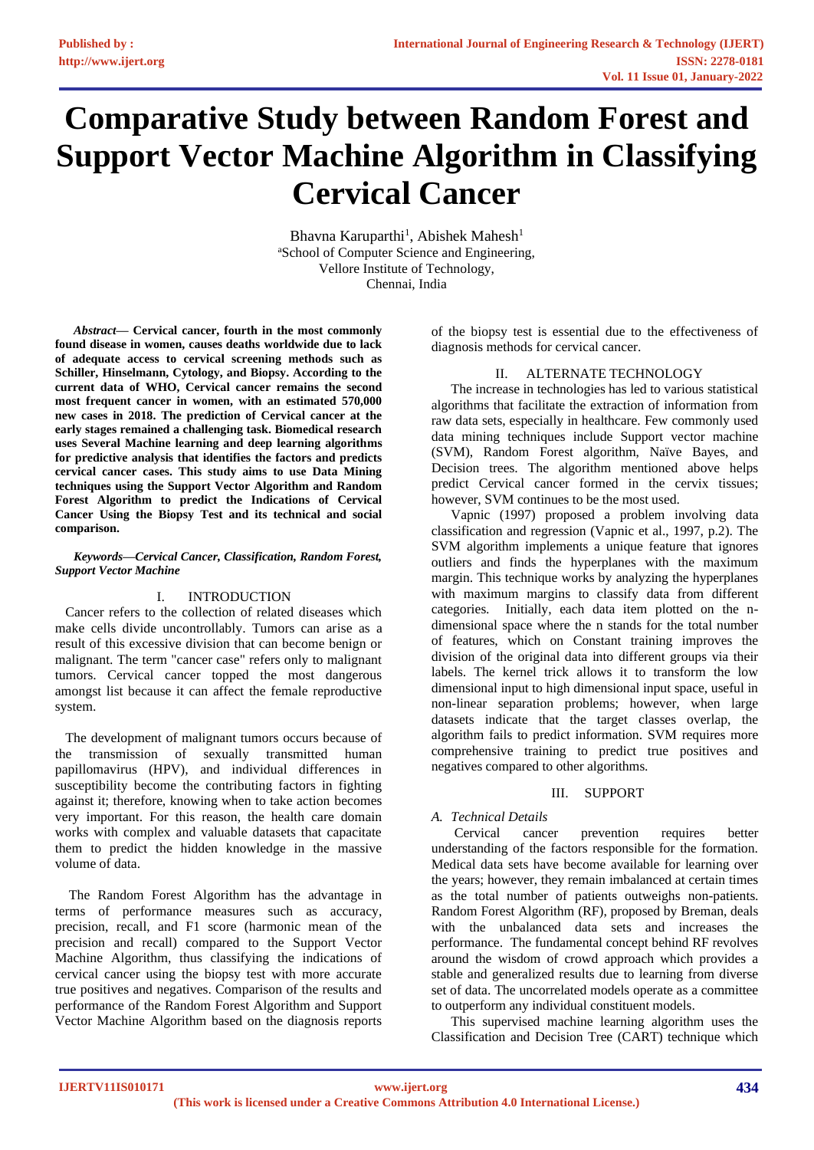# **Comparative Study between Random Forest and Support Vector Machine Algorithm in Classifying Cervical Cancer**

Bhavna Karuparthi<sup>1</sup>, Abishek Mahesh<sup>1</sup> <sup>a</sup>School of Computer Science and Engineering, Vellore Institute of Technology, Chennai, India

*Abstract***— Cervical cancer, fourth in the most commonly found disease in women, causes deaths worldwide due to lack of adequate access to cervical screening methods such as Schiller, Hinselmann, Cytology, and Biopsy. According to the current data of WHO, Cervical cancer remains the second most frequent cancer in women, with an estimated 570,000 new cases in 2018. The prediction of Cervical cancer at the early stages remained a challenging task. Biomedical research uses Several Machine learning and deep learning algorithms for predictive analysis that identifies the factors and predicts cervical cancer cases. This study aims to use Data Mining techniques using the Support Vector Algorithm and Random Forest Algorithm to predict the Indications of Cervical Cancer Using the Biopsy Test and its technical and social comparison.**

#### *Keywords—Cervical Cancer, Classification, Random Forest, Support Vector Machine*

# I. INTRODUCTION

 Cancer refers to the collection of related diseases which make cells divide uncontrollably. Tumors can arise as a result of this excessive division that can become benign or malignant. The term "cancer case" refers only to malignant tumors. Cervical cancer topped the most dangerous amongst list because it can affect the female reproductive system.

 The development of malignant tumors occurs because of the transmission of sexually transmitted human papillomavirus (HPV), and individual differences in susceptibility become the contributing factors in fighting against it; therefore, knowing when to take action becomes very important. For this reason, the health care domain works with complex and valuable datasets that capacitate them to predict the hidden knowledge in the massive volume of data.

 The Random Forest Algorithm has the advantage in terms of performance measures such as accuracy, precision, recall, and F1 score (harmonic mean of the precision and recall) compared to the Support Vector Machine Algorithm, thus classifying the indications of cervical cancer using the biopsy test with more accurate true positives and negatives. Comparison of the results and performance of the Random Forest Algorithm and Support Vector Machine Algorithm based on the diagnosis reports

of the biopsy test is essential due to the effectiveness of diagnosis methods for cervical cancer.

## II. ALTERNATE TECHNOLOGY

The increase in technologies has led to various statistical algorithms that facilitate the extraction of information from raw data sets, especially in healthcare. Few commonly used data mining techniques include Support vector machine (SVM), Random Forest algorithm, Naïve Bayes, and Decision trees. The algorithm mentioned above helps predict Cervical cancer formed in the cervix tissues; however, SVM continues to be the most used.

Vapnic (1997) proposed a problem involving data classification and regression (Vapnic et al., 1997, p.2). The SVM algorithm implements a unique feature that ignores outliers and finds the hyperplanes with the maximum margin. This technique works by analyzing the hyperplanes with maximum margins to classify data from different categories. Initially, each data item plotted on the ndimensional space where the n stands for the total number of features, which on Constant training improves the division of the original data into different groups via their labels. The kernel trick allows it to transform the low dimensional input to high dimensional input space, useful in non-linear separation problems; however, when large datasets indicate that the target classes overlap, the algorithm fails to predict information. SVM requires more comprehensive training to predict true positives and negatives compared to other algorithms.

## III. SUPPORT

# *A. Technical Details*

Cervical cancer prevention requires better understanding of the factors responsible for the formation. Medical data sets have become available for learning over the years; however, they remain imbalanced at certain times as the total number of patients outweighs non-patients. Random Forest Algorithm (RF), proposed by Breman, deals with the unbalanced data sets and increases the performance. The fundamental concept behind RF revolves around the wisdom of crowd approach which provides a stable and generalized results due to learning from diverse set of data. The uncorrelated models operate as a committee to outperform any individual constituent models.

This supervised machine learning algorithm uses the Classification and Decision Tree (CART) technique which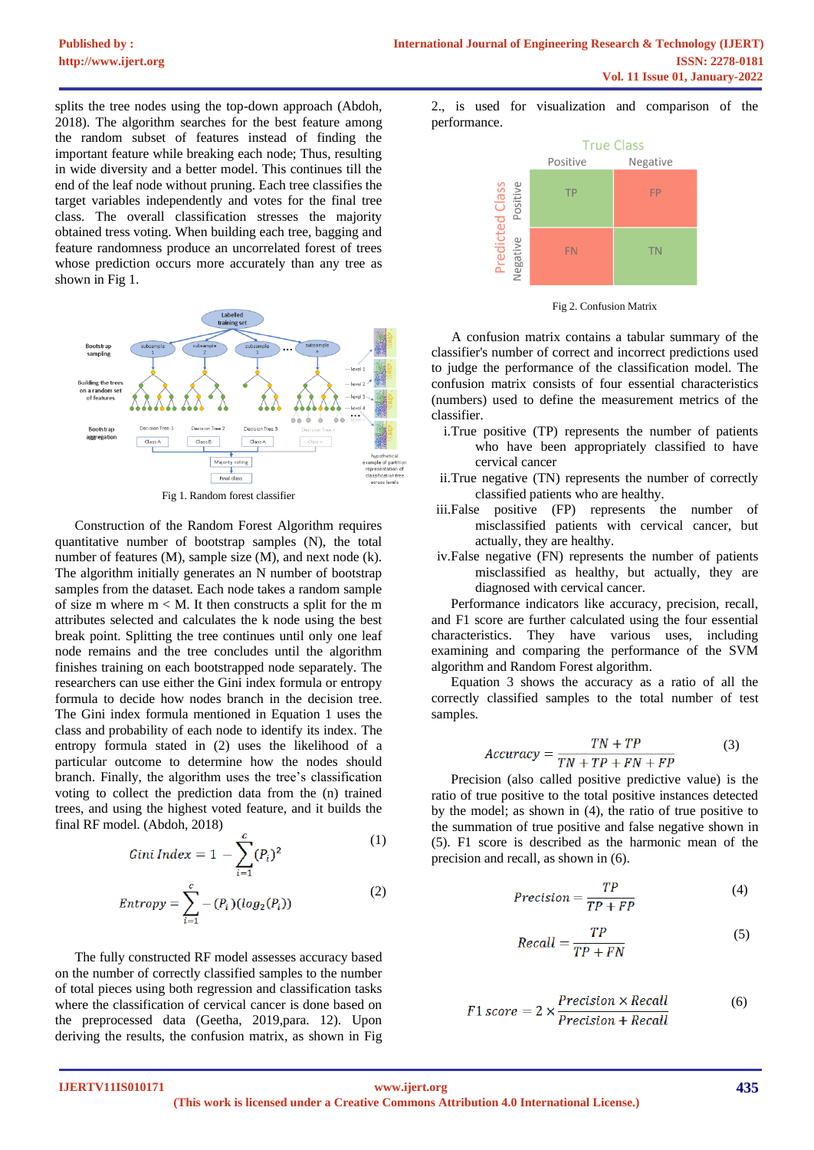splits the tree nodes using the top-down approach (Abdoh, 2018). The algorithm searches for the best feature among the random subset of features instead of finding the important feature while breaking each node; Thus, resulting in wide diversity and a better model. This continues till the end of the leaf node without pruning. Each tree classifies the target variables independently and votes for the final tree class. The overall classification stresses the majority obtained tress voting. When building each tree, bagging and feature randomness produce an uncorrelated forest of trees whose prediction occurs more accurately than any tree as shown in Fig 1.



Construction of the Random Forest Algorithm requires quantitative number of bootstrap samples (N), the total number of features (M), sample size (M), and next node (k). The algorithm initially generates an N number of bootstrap samples from the dataset. Each node takes a random sample of size m where  $m < M$ . It then constructs a split for the m attributes selected and calculates the k node using the best break point. Splitting the tree continues until only one leaf node remains and the tree concludes until the algorithm finishes training on each bootstrapped node separately. The researchers can use either the Gini index formula or entropy formula to decide how nodes branch in the decision tree. The Gini index formula mentioned in Equation 1 uses the class and probability of each node to identify its index. The entropy formula stated in (2) uses the likelihood of a particular outcome to determine how the nodes should branch. Finally, the algorithm uses the tree's classification voting to collect the prediction data from the (n) trained trees, and using the highest voted feature, and it builds the final RF model. (Abdoh, 2018)

$$
Gini Index = 1 - \sum_{i=1}^{c} (P_i)^2
$$
 (1)

$$
Entropy = \sum_{i=1}^{c} -(P_i)(log_2(P_i))
$$
\n(2)

The fully constructed RF model assesses accuracy based on the number of correctly classified samples to the number of total pieces using both regression and classification tasks where the classification of cervical cancer is done based on the preprocessed data (Geetha, 2019,para. 12). Upon deriving the results, the confusion matrix, as shown in Fig

2., is used for visualization and comparison of the performance.



Fig 2. Confusion Matrix

 A confusion matrix contains a tabular summary of the classifier's number of correct and incorrect predictions used to judge the performance of the classification model. The confusion matrix consists of four essential characteristics (numbers) used to define the measurement metrics of the classifier.

- i.True positive (TP) represents the number of patients who have been appropriately classified to have cervical cancer
- ii.True negative (TN) represents the number of correctly classified patients who are healthy.
- iii.False positive (FP) represents the number of misclassified patients with cervical cancer, but actually, they are healthy.
- iv.False negative (FN) represents the number of patients misclassified as healthy, but actually, they are diagnosed with cervical cancer.

Performance indicators like accuracy, precision, recall, and F1 score are further calculated using the four essential characteristics. They have various uses, including examining and comparing the performance of the SVM algorithm and Random Forest algorithm.

Equation 3 shows the accuracy as a ratio of all the correctly classified samples to the total number of test samples.

$$
Accuracy = \frac{TN + TP}{TN + TP + FN + FP}
$$
 (3)

Precision (also called positive predictive value) is the ratio of true positive to the total positive instances detected by the model; as shown in (4), the ratio of true positive to the summation of true positive and false negative shown in (5). F1 score is described as the harmonic mean of the precision and recall, as shown in (6).

$$
Precision = \frac{TP}{TP + FP}
$$
 (4)

$$
Recall = \frac{TP}{TP + FN}
$$
 (5)

$$
F1 score = 2 \times \frac{Precision \times Recall}{Precision + Recall}
$$
 (6)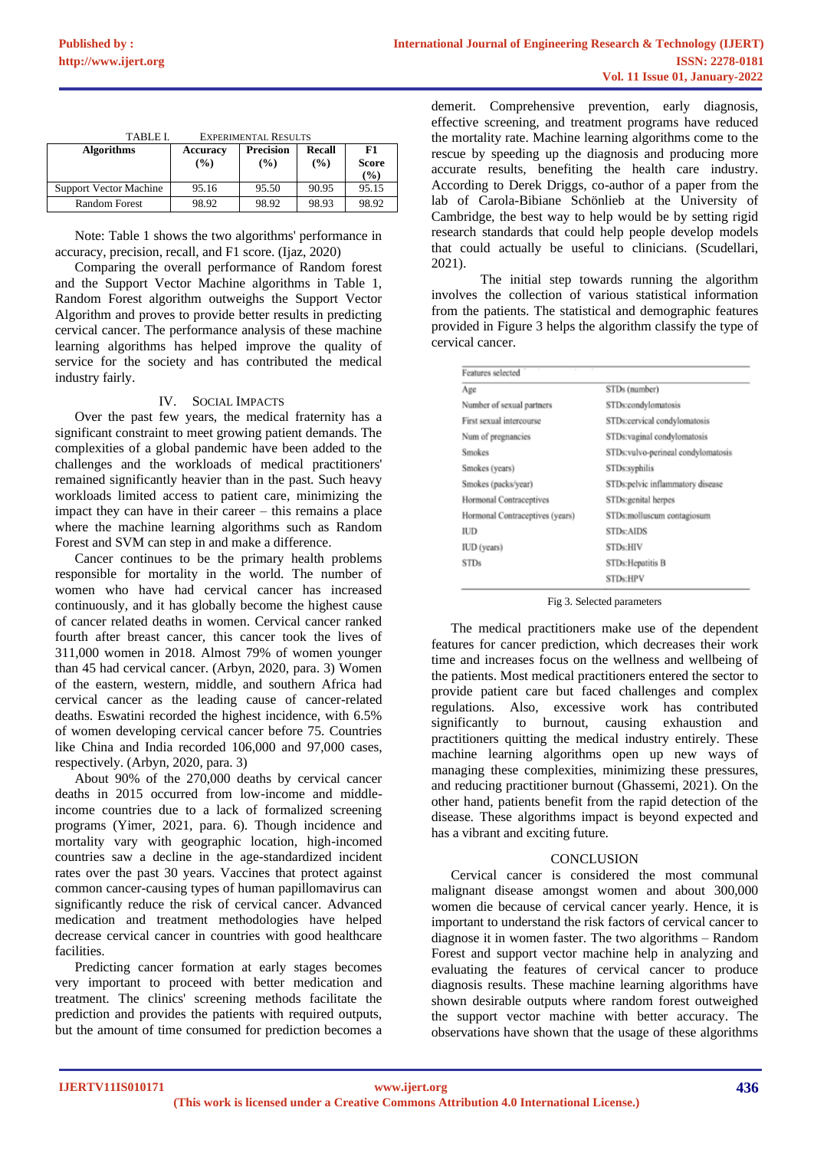| TABLE I.                      | <b>EXPERIMENTAL RESULTS</b> |                  |        |                                |
|-------------------------------|-----------------------------|------------------|--------|--------------------------------|
| <b>Algorithms</b>             | <b>Accuracy</b>             | <b>Precision</b> | Recall | F1                             |
|                               | (%)                         | $\frac{9}{6}$    | (%)    | <b>Score</b><br>$\binom{0}{0}$ |
|                               |                             |                  |        |                                |
| <b>Support Vector Machine</b> | 95.16                       | 95.50            | 90.95  | 95.15                          |
| <b>Random Forest</b>          | 98.92                       | 98.92            | 98.93  | 98.92                          |

Note: Table 1 shows the two algorithms' performance in accuracy, precision, recall, and F1 score. (Ijaz, 2020)

Comparing the overall performance of Random forest and the Support Vector Machine algorithms in Table 1, Random Forest algorithm outweighs the Support Vector Algorithm and proves to provide better results in predicting cervical cancer. The performance analysis of these machine learning algorithms has helped improve the quality of service for the society and has contributed the medical industry fairly.

## IV. SOCIAL IMPACTS

Over the past few years, the medical fraternity has a significant constraint to meet growing patient demands. The complexities of a global pandemic have been added to the challenges and the workloads of medical practitioners' remained significantly heavier than in the past. Such heavy workloads limited access to patient care, minimizing the impact they can have in their career – this remains a place where the machine learning algorithms such as Random Forest and SVM can step in and make a difference.

Cancer continues to be the primary health problems responsible for mortality in the world. The number of women who have had cervical cancer has increased continuously, and it has globally become the highest cause of cancer related deaths in women. Cervical cancer ranked fourth after breast cancer, this cancer took the lives of 311,000 women in 2018. Almost 79% of women younger than 45 had cervical cancer. (Arbyn, 2020, para. 3) Women of the eastern, western, middle, and southern Africa had cervical cancer as the leading cause of cancer-related deaths. Eswatini recorded the highest incidence, with 6.5% of women developing cervical cancer before 75. Countries like China and India recorded 106,000 and 97,000 cases, respectively. (Arbyn, 2020, para. 3)

About 90% of the 270,000 deaths by cervical cancer deaths in 2015 occurred from low-income and middleincome countries due to a lack of formalized screening programs (Yimer, 2021, para. 6). Though incidence and mortality vary with geographic location, high-incomed countries saw a decline in the age-standardized incident rates over the past 30 years. Vaccines that protect against common cancer-causing types of human papillomavirus can significantly reduce the risk of cervical cancer. Advanced medication and treatment methodologies have helped decrease cervical cancer in countries with good healthcare facilities.

Predicting cancer formation at early stages becomes very important to proceed with better medication and treatment. The clinics' screening methods facilitate the prediction and provides the patients with required outputs, but the amount of time consumed for prediction becomes a

demerit. Comprehensive prevention, early diagnosis, effective screening, and treatment programs have reduced the mortality rate. Machine learning algorithms come to the rescue by speeding up the diagnosis and producing more accurate results, benefiting the health care industry. According to Derek Driggs, co-author of a paper from the lab of Carola-Bibiane Schönlieb at the University of Cambridge, the best way to help would be by setting rigid research standards that could help people develop models that could actually be useful to clinicians. (Scudellari, 2021).

The initial step towards running the algorithm involves the collection of various statistical information from the patients. The statistical and demographic features provided in Figure 3 helps the algorithm classify the type of cervical cancer.

| Features selected               |                                    |  |  |
|---------------------------------|------------------------------------|--|--|
| Age                             | STDs (number)                      |  |  |
| Number of sexual partners       | STDs:condylomatosis                |  |  |
| First sexual intercourse        | STDs:cervical condylomatosis       |  |  |
| Num of pregnancies              | STDs: vaginal condylomatosis       |  |  |
| <b>Smokes</b>                   | STDs:vulvo-perineal condylomatosis |  |  |
| Smokes (years)                  | STDs:syphilis                      |  |  |
| Smokes (packs/year)             | STDs:pelvic inflammatory disease   |  |  |
| Hormonal Contraceptives         | STDs:genital herpes                |  |  |
| Hormonal Contraceptives (years) | STDs:molluscum contagiosum         |  |  |
| IUD                             | <b>STDs:AIDS</b>                   |  |  |
| IUD (years)                     | <b>STDs:HIV</b>                    |  |  |
| <b>STDs</b>                     | STDs: Hepatitis B                  |  |  |
|                                 | <b>STDs:HPV</b>                    |  |  |

Fig 3. Selected parameters

The medical practitioners make use of the dependent features for cancer prediction, which decreases their work time and increases focus on the wellness and wellbeing of the patients. Most medical practitioners entered the sector to provide patient care but faced challenges and complex regulations. Also, excessive work has contributed significantly to burnout, causing exhaustion and practitioners quitting the medical industry entirely. These machine learning algorithms open up new ways of managing these complexities, minimizing these pressures, and reducing practitioner burnout (Ghassemi, 2021). On the other hand, patients benefit from the rapid detection of the disease. These algorithms impact is beyond expected and has a vibrant and exciting future.

#### **CONCLUSION**

Cervical cancer is considered the most communal malignant disease amongst women and about 300,000 women die because of cervical cancer yearly. Hence, it is important to understand the risk factors of cervical cancer to diagnose it in women faster. The two algorithms – Random Forest and support vector machine help in analyzing and evaluating the features of cervical cancer to produce diagnosis results. These machine learning algorithms have shown desirable outputs where random forest outweighed the support vector machine with better accuracy. The observations have shown that the usage of these algorithms